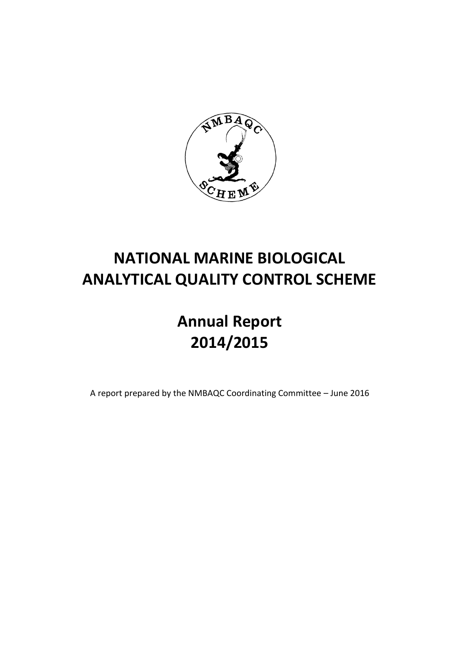

# **NATIONAL MARINE BIOLOGICAL ANALYTICAL QUALITY CONTROL SCHEME**

# **Annual Report 2014/2015**

A report prepared by the NMBAQC Coordinating Committee – June 2016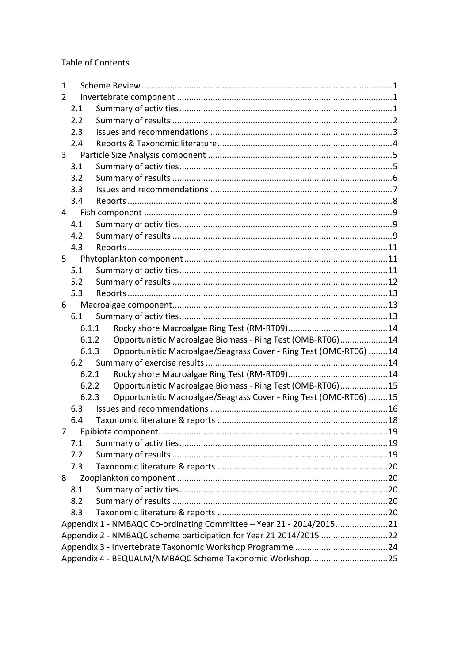**Table of Contents** 

| 1                                                                 |                                                                     |                                                                   |  |  |  |
|-------------------------------------------------------------------|---------------------------------------------------------------------|-------------------------------------------------------------------|--|--|--|
| 2                                                                 |                                                                     |                                                                   |  |  |  |
|                                                                   | 2.1                                                                 |                                                                   |  |  |  |
|                                                                   | 2.2                                                                 |                                                                   |  |  |  |
|                                                                   | 2.3                                                                 |                                                                   |  |  |  |
|                                                                   | 2.4                                                                 |                                                                   |  |  |  |
| 3                                                                 |                                                                     |                                                                   |  |  |  |
|                                                                   | 3.1                                                                 |                                                                   |  |  |  |
|                                                                   | 3.2                                                                 |                                                                   |  |  |  |
|                                                                   | 3.3                                                                 |                                                                   |  |  |  |
|                                                                   | 3.4                                                                 |                                                                   |  |  |  |
| 4                                                                 |                                                                     |                                                                   |  |  |  |
|                                                                   | 4.1                                                                 |                                                                   |  |  |  |
|                                                                   | 4.2                                                                 |                                                                   |  |  |  |
|                                                                   | 4.3                                                                 |                                                                   |  |  |  |
| 5                                                                 |                                                                     |                                                                   |  |  |  |
|                                                                   | 5.1                                                                 |                                                                   |  |  |  |
|                                                                   | 5.2                                                                 |                                                                   |  |  |  |
|                                                                   | 5.3                                                                 |                                                                   |  |  |  |
| 6                                                                 |                                                                     |                                                                   |  |  |  |
|                                                                   | 6.1                                                                 |                                                                   |  |  |  |
|                                                                   | 6.1.1                                                               |                                                                   |  |  |  |
|                                                                   | 6.1.2                                                               | Opportunistic Macroalgae Biomass - Ring Test (OMB-RT06) 14        |  |  |  |
|                                                                   | 6.1.3                                                               | Opportunistic Macroalgae/Seagrass Cover - Ring Test (OMC-RT06) 14 |  |  |  |
|                                                                   | 6.2                                                                 |                                                                   |  |  |  |
|                                                                   | 6.2.1                                                               |                                                                   |  |  |  |
|                                                                   | 6.2.2                                                               | Opportunistic Macroalgae Biomass - Ring Test (OMB-RT06)15         |  |  |  |
|                                                                   | 6.2.3                                                               | Opportunistic Macroalgae/Seagrass Cover - Ring Test (OMC-RT06) 15 |  |  |  |
|                                                                   | 6.3                                                                 |                                                                   |  |  |  |
|                                                                   | 6.4                                                                 |                                                                   |  |  |  |
|                                                                   |                                                                     |                                                                   |  |  |  |
|                                                                   | 7.1                                                                 |                                                                   |  |  |  |
|                                                                   | 7.2                                                                 |                                                                   |  |  |  |
|                                                                   | 7.3                                                                 |                                                                   |  |  |  |
| 8                                                                 |                                                                     |                                                                   |  |  |  |
|                                                                   | 8.1                                                                 |                                                                   |  |  |  |
|                                                                   | 8.2                                                                 |                                                                   |  |  |  |
|                                                                   | 8.3                                                                 |                                                                   |  |  |  |
|                                                                   | Appendix 1 - NMBAQC Co-ordinating Committee - Year 21 - 2014/201521 |                                                                   |  |  |  |
| Appendix 2 - NMBAQC scheme participation for Year 21 2014/2015 22 |                                                                     |                                                                   |  |  |  |
|                                                                   |                                                                     |                                                                   |  |  |  |
| Appendix 4 - BEQUALM/NMBAQC Scheme Taxonomic Workshop25           |                                                                     |                                                                   |  |  |  |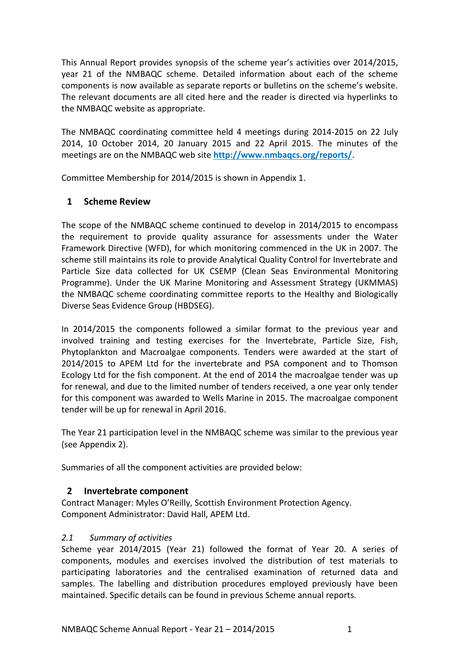This Annual Report provides synopsis of the scheme year's activities over 2014/2015, year 21 of the NMBAQC scheme. Detailed information about each of the scheme components is now available as separate reports or bulletins on the scheme's website. The relevant documents are all cited here and the reader is directed via hyperlinks to the NMBAQC website as appropriate.

The NMBAQC coordinating committee held 4 meetings during 2014-2015 on 22 July 2014, 10 October 2014, 20 January 2015 and 22 April 2015. The minutes of the meetings are on the NMBAQC web site **<http://www.nmbaqcs.org/reports/>**.

Committee Membership for 2014/2015 is shown in Appendix 1.

# <span id="page-2-0"></span>**1 Scheme Review**

The scope of the NMBAQC scheme continued to develop in 2014/2015 to encompass the requirement to provide quality assurance for assessments under the Water Framework Directive (WFD), for which monitoring commenced in the UK in 2007. The scheme still maintains its role to provide Analytical Quality Control for Invertebrate and Particle Size data collected for UK CSEMP (Clean Seas Environmental Monitoring Programme). Under the UK Marine Monitoring and Assessment Strategy (UKMMAS) the NMBAQC scheme coordinating committee reports to the Healthy and Biologically Diverse Seas Evidence Group (HBDSEG).

In 2014/2015 the components followed a similar format to the previous year and involved training and testing exercises for the Invertebrate, Particle Size, Fish, Phytoplankton and Macroalgae components. Tenders were awarded at the start of 2014/2015 to APEM Ltd for the invertebrate and PSA component and to Thomson Ecology Ltd for the fish component. At the end of 2014 the macroalgae tender was up for renewal, and due to the limited number of tenders received, a one year only tender for this component was awarded to Wells Marine in 2015. The macroalgae component tender will be up for renewal in April 2016.

The Year 21 participation level in the NMBAQC scheme was similar to the previous year (see Appendix 2).

Summaries of all the component activities are provided below:

# <span id="page-2-1"></span>**2 Invertebrate component**

Contract Manager: Myles O'Reilly, Scottish Environment Protection Agency. Component Administrator: David Hall, APEM Ltd.

# <span id="page-2-2"></span>*2.1 Summary of activities*

Scheme year 2014/2015 (Year 21) followed the format of Year 20. A series of components, modules and exercises involved the distribution of test materials to participating laboratories and the centralised examination of returned data and samples. The labelling and distribution procedures employed previously have been maintained. Specific details can be found in previous Scheme annual reports.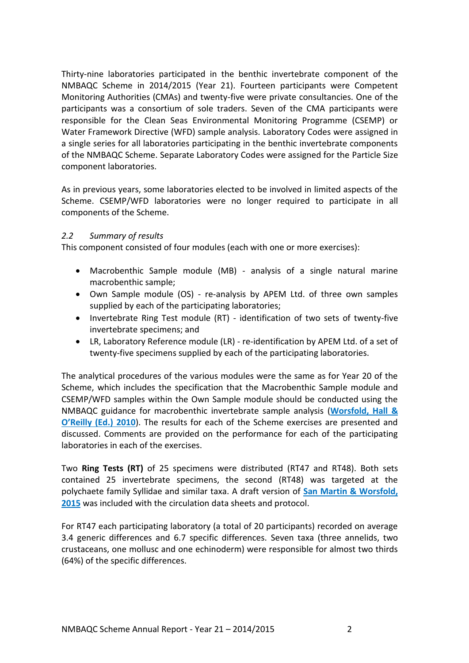Thirty-nine laboratories participated in the benthic invertebrate component of the NMBAQC Scheme in 2014/2015 (Year 21). Fourteen participants were Competent Monitoring Authorities (CMAs) and twenty-five were private consultancies. One of the participants was a consortium of sole traders. Seven of the CMA participants were responsible for the Clean Seas Environmental Monitoring Programme (CSEMP) or Water Framework Directive (WFD) sample analysis. Laboratory Codes were assigned in a single series for all laboratories participating in the benthic invertebrate components of the NMBAQC Scheme. Separate Laboratory Codes were assigned for the Particle Size component laboratories.

As in previous years, some laboratories elected to be involved in limited aspects of the Scheme. CSEMP/WFD laboratories were no longer required to participate in all components of the Scheme.

## <span id="page-3-0"></span>*2.2 Summary of results*

This component consisted of four modules (each with one or more exercises):

- Macrobenthic Sample module (MB) analysis of a single natural marine macrobenthic sample;
- Own Sample module (OS) re-analysis by APEM Ltd. of three own samples supplied by each of the participating laboratories;
- Invertebrate Ring Test module (RT) identification of two sets of twenty-five invertebrate specimens; and
- LR, Laboratory Reference module (LR) re-identification by APEM Ltd. of a set of twenty-five specimens supplied by each of the participating laboratories.

The analytical procedures of the various modules were the same as for Year 20 of the Scheme, which includes the specification that the Macrobenthic Sample module and CSEMP/WFD samples within the Own Sample module should be conducted using the NMBAQC guidance for macrobenthic invertebrate sample analysis (**[Worsfold, Hall &](http://www.nmbaqcs.org/media/1175/nmbaqc-inv-prp-v10-june2010.pdf)  O'[Reilly \(Ed.\) 2010](http://www.nmbaqcs.org/media/1175/nmbaqc-inv-prp-v10-june2010.pdf)**). The results for each of the Scheme exercises are presented and discussed. Comments are provided on the performance for each of the participating laboratories in each of the exercises.

Two **Ring Tests (RT)** of 25 specimens were distributed (RT47 and RT48). Both sets contained 25 invertebrate specimens, the second (RT48) was targeted at the polychaete family Syllidae and similar taxa. A draft version of **[San Martin & Worsfold,](http://zookeys.pensoft.net/articles.php?id=4917)  [2015](http://zookeys.pensoft.net/articles.php?id=4917)** was included with the circulation data sheets and protocol.

For RT47 each participating laboratory (a total of 20 participants) recorded on average 3.4 generic differences and 6.7 specific differences. Seven taxa (three annelids, two crustaceans, one mollusc and one echinoderm) were responsible for almost two thirds (64%) of the specific differences.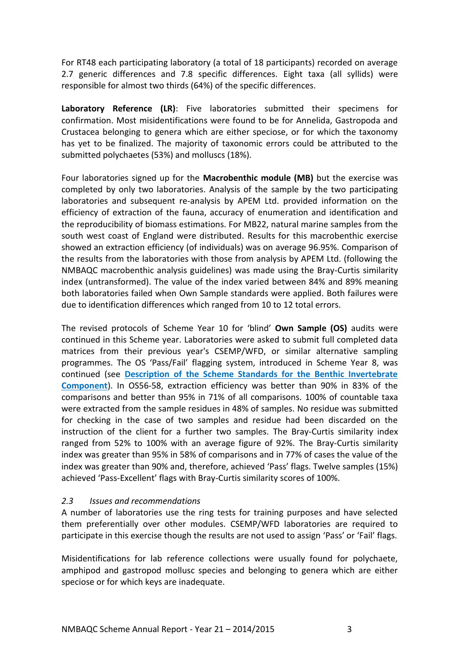For RT48 each participating laboratory (a total of 18 participants) recorded on average 2.7 generic differences and 7.8 specific differences. Eight taxa (all syllids) were responsible for almost two thirds (64%) of the specific differences.

**Laboratory Reference (LR)**: Five laboratories submitted their specimens for confirmation. Most misidentifications were found to be for Annelida, Gastropoda and Crustacea belonging to genera which are either speciose, or for which the taxonomy has yet to be finalized. The majority of taxonomic errors could be attributed to the submitted polychaetes (53%) and molluscs (18%).

Four laboratories signed up for the **Macrobenthic module (MB)** but the exercise was completed by only two laboratories. Analysis of the sample by the two participating laboratories and subsequent re-analysis by APEM Ltd. provided information on the efficiency of extraction of the fauna, accuracy of enumeration and identification and the reproducibility of biomass estimations. For MB22, natural marine samples from the south west coast of England were distributed. Results for this macrobenthic exercise showed an extraction efficiency (of individuals) was on average 96.95%. Comparison of the results from the laboratories with those from analysis by APEM Ltd. (following the NMBAQC macrobenthic analysis guidelines) was made using the Bray-Curtis similarity index (untransformed). The value of the index varied between 84% and 89% meaning both laboratories failed when Own Sample standards were applied. Both failures were due to identification differences which ranged from 10 to 12 total errors.

The revised protocols of Scheme Year 10 for 'blind' **Own Sample (OS)** audits were continued in this Scheme year. Laboratories were asked to submit full completed data matrices from their previous year's CSEMP/WFD, or similar alternative sampling programmes. The OS 'Pass/Fail' flagging system, introduced in Scheme Year 8, was continued (see **[Description of the Scheme Standards for the Benthic Invertebrate](http://www.nmbaqcs.org/media/1152/os_standardsreview_rpt.pdf)  [Component](http://www.nmbaqcs.org/media/1152/os_standardsreview_rpt.pdf)**). In OS56-58, extraction efficiency was better than 90% in 83% of the comparisons and better than 95% in 71% of all comparisons. 100% of countable taxa were extracted from the sample residues in 48% of samples. No residue was submitted for checking in the case of two samples and residue had been discarded on the instruction of the client for a further two samples. The Bray-Curtis similarity index ranged from 52% to 100% with an average figure of 92%. The Bray-Curtis similarity index was greater than 95% in 58% of comparisons and in 77% of cases the value of the index was greater than 90% and, therefore, achieved 'Pass' flags. Twelve samples (15%) achieved 'Pass-Excellent' flags with Bray-Curtis similarity scores of 100%.

## <span id="page-4-0"></span>*2.3 Issues and recommendations*

A number of laboratories use the ring tests for training purposes and have selected them preferentially over other modules. CSEMP/WFD laboratories are required to participate in this exercise though the results are not used to assign 'Pass' or 'Fail' flags.

Misidentifications for lab reference collections were usually found for polychaete, amphipod and gastropod mollusc species and belonging to genera which are either speciose or for which keys are inadequate.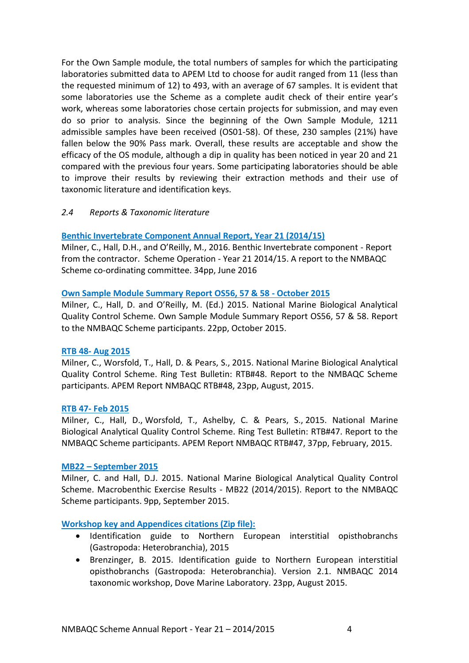For the Own Sample module, the total numbers of samples for which the participating laboratories submitted data to APEM Ltd to choose for audit ranged from 11 (less than the requested minimum of 12) to 493, with an average of 67 samples. It is evident that some laboratories use the Scheme as a complete audit check of their entire year's work, whereas some laboratories chose certain projects for submission, and may even do so prior to analysis. Since the beginning of the Own Sample Module, 1211 admissible samples have been received (OS01-58). Of these, 230 samples (21%) have fallen below the 90% Pass mark. Overall, these results are acceptable and show the efficacy of the OS module, although a dip in quality has been noticed in year 20 and 21 compared with the previous four years. Some participating laboratories should be able to improve their results by reviewing their extraction methods and their use of taxonomic literature and identification keys.

## <span id="page-5-0"></span>*2.4 Reports & Taxonomic literature*

## **[Benthic Invertebrate Component Annual Report, Year](http://www.nmbaqcs.org/scheme-components/invertebrates/reports/inverts-annual-yr21/) 21 (2014/15)**

Milner, C., Hall, D.H., and O'Reilly, M., 2016. Benthic Invertebrate component - Report from the contractor. Scheme Operation - Year 21 2014/15. A report to the NMBAQC Scheme co-ordinating committee. 34pp, June 2016

## **[Own Sample Module Summary](http://www.nmbaqcs.org/scheme-components/invertebrates/reports/os-56-58/) Report OS56, 57 & 58 - October 2015**

Milner, C., Hall, D. and O'Reilly, M. (Ed.) 2015. National Marine Biological Analytical Quality Control Scheme. Own Sample Module Summary Report OS56, 57 & 58. Report to the NMBAQC Scheme participants. 22pp, October 2015.

## **RTB 48- [Aug 2015](http://www.nmbaqcs.org/scheme-components/invertebrates/reports/rtb48/)**

Milner, C., Worsfold, T., Hall, D. & Pears, S., 2015. National Marine Biological Analytical Quality Control Scheme. Ring Test Bulletin: RTB#48. Report to the NMBAQC Scheme participants. APEM Report NMBAQC RTB#48, 23pp, August, 2015.

## **RTB 47- [Feb 2015](http://www.nmbaqcs.org/scheme-components/invertebrates/reports/rtb47/)**

Milner, C., Hall, D., Worsfold, T., Ashelby, C. & Pears, S., 2015. National Marine Biological Analytical Quality Control Scheme. Ring Test Bulletin: RTB#47. Report to the NMBAQC Scheme participants. APEM Report NMBAQC RTB#47, 37pp, February, 2015.

## **MB22 – [September 2015](http://www.nmbaqcs.org/scheme-components/invertebrates/reports/mb22-final-report/)**

Milner, C. and Hall, D.J. 2015. National Marine Biological Analytical Quality Control Scheme. Macrobenthic Exercise Results - MB22 (2014/2015). Report to the NMBAQC Scheme participants. 9pp, September 2015.

## **[Workshop key and Appendices citations \(Zip file\):](http://www.nmbaqcs.org/scheme-components/invertebrates/literature-and-taxonomic-keys/brezinger-insterstitial-opishobranchs/)**

- Identification guide to Northern European interstitial opisthobranchs (Gastropoda: Heterobranchia), 2015
- Brenzinger, B. 2015. Identification guide to Northern European interstitial opisthobranchs (Gastropoda: Heterobranchia). Version 2.1. NMBAQC 2014 taxonomic workshop, Dove Marine Laboratory. 23pp, August 2015.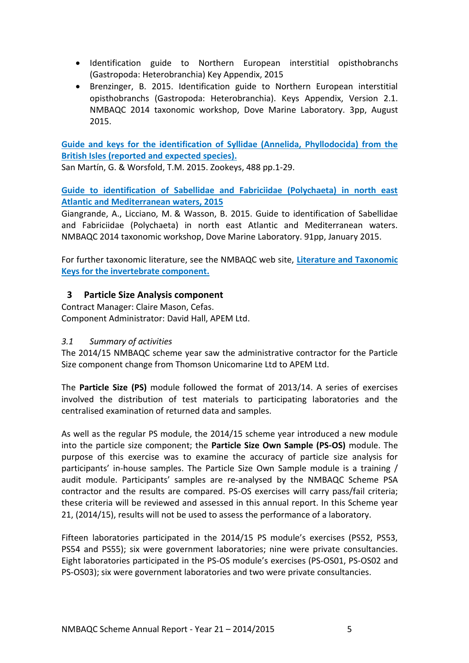- Identification guide to Northern European interstitial opisthobranchs (Gastropoda: Heterobranchia) Key Appendix, 2015
- Brenzinger, B. 2015. Identification guide to Northern European interstitial opisthobranchs (Gastropoda: Heterobranchia). Keys Appendix, Version 2.1. NMBAQC 2014 taxonomic workshop, Dove Marine Laboratory. 3pp, August 2015.

**[Guide and keys for the identification of Syllidae \(Annelida, Phyllodocida\) from the](http://zookeys.pensoft.net/articles.php?id=4917)  [British Isles \(reported and expected species\).](http://zookeys.pensoft.net/articles.php?id=4917)** 

San Martín, G. & Worsfold, T.M. 2015. Zookeys, 488 pp.1-29.

**[Guide to identification of Sabellidae and Fabriciidae \(Polychaeta\) in north east](http://www.nmbaqcs.org/scheme-components/invertebrates/literature-and-taxonomic-keys/sabellid-guide/)  [Atlantic and Mediterranean waters, 2015](http://www.nmbaqcs.org/scheme-components/invertebrates/literature-and-taxonomic-keys/sabellid-guide/)**

Giangrande, A., Licciano, M. & Wasson, B. 2015. Guide to identification of Sabellidae and Fabriciidae (Polychaeta) in north east Atlantic and Mediterranean waters. NMBAQC 2014 taxonomic workshop, Dove Marine Laboratory. 91pp, January 2015.

For further taxonomic literature, see the NMBAQC web site, **[Literature and Taxonomic](http://www.nmbaqcs.org/scheme-components/invertebrates/literature-and-taxonomic-keys.aspx)  [Keys for the invertebrate component.](http://www.nmbaqcs.org/scheme-components/invertebrates/literature-and-taxonomic-keys.aspx)** 

# <span id="page-6-0"></span>**3 Particle Size Analysis component**

Contract Manager: Claire Mason, Cefas. Component Administrator: David Hall, APEM Ltd.

# <span id="page-6-1"></span>*3.1 Summary of activities*

The 2014/15 NMBAQC scheme year saw the administrative contractor for the Particle Size component change from Thomson Unicomarine Ltd to APEM Ltd.

The **Particle Size (PS)** module followed the format of 2013/14. A series of exercises involved the distribution of test materials to participating laboratories and the centralised examination of returned data and samples.

As well as the regular PS module, the 2014/15 scheme year introduced a new module into the particle size component; the **Particle Size Own Sample (PS-OS)** module. The purpose of this exercise was to examine the accuracy of particle size analysis for participants' in-house samples. The Particle Size Own Sample module is a training / audit module. Participants' samples are re-analysed by the NMBAQC Scheme PSA contractor and the results are compared. PS-OS exercises will carry pass/fail criteria; these criteria will be reviewed and assessed in this annual report. In this Scheme year 21, (2014/15), results will not be used to assess the performance of a laboratory.

Fifteen laboratories participated in the 2014/15 PS module's exercises (PS52, PS53, PS54 and PS55); six were government laboratories; nine were private consultancies. Eight laboratories participated in the PS-OS module's exercises (PS-OS01, PS-OS02 and PS-OS03); six were government laboratories and two were private consultancies.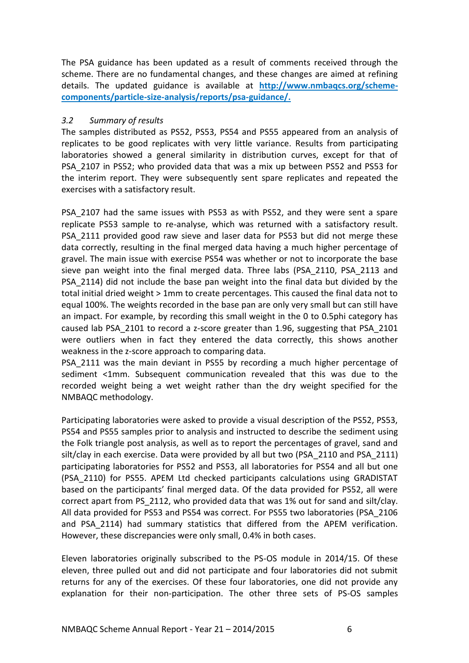The PSA guidance has been updated as a result of comments received through the scheme. There are no fundamental changes, and these changes are aimed at refining details. The updated guidance is available at **[http://www.nmbaqcs.org/scheme](http://www.nmbaqcs.org/scheme-components/particle-size-analysis/reports/psa-guidance/)[components/particle-size-analysis/reports/psa-guidance/.](http://www.nmbaqcs.org/scheme-components/particle-size-analysis/reports/psa-guidance/)**

## <span id="page-7-0"></span>*3.2 Summary of results*

The samples distributed as PS52, PS53, PS54 and PS55 appeared from an analysis of replicates to be good replicates with very little variance. Results from participating laboratories showed a general similarity in distribution curves, except for that of PSA\_2107 in PS52; who provided data that was a mix up between PS52 and PS53 for the interim report. They were subsequently sent spare replicates and repeated the exercises with a satisfactory result.

PSA\_2107 had the same issues with PS53 as with PS52, and they were sent a spare replicate PS53 sample to re-analyse, which was returned with a satisfactory result. PSA\_2111 provided good raw sieve and laser data for PS53 but did not merge these data correctly, resulting in the final merged data having a much higher percentage of gravel. The main issue with exercise PS54 was whether or not to incorporate the base sieve pan weight into the final merged data. Three labs (PSA\_2110, PSA\_2113 and PSA\_2114) did not include the base pan weight into the final data but divided by the total initial dried weight > 1mm to create percentages. This caused the final data not to equal 100%. The weights recorded in the base pan are only very small but can still have an impact. For example, by recording this small weight in the 0 to 0.5phi category has caused lab PSA\_2101 to record a z-score greater than 1.96, suggesting that PSA\_2101 were outliers when in fact they entered the data correctly, this shows another weakness in the z-score approach to comparing data.

PSA 2111 was the main deviant in PS55 by recording a much higher percentage of sediment <1mm. Subsequent communication revealed that this was due to the recorded weight being a wet weight rather than the dry weight specified for the NMBAQC methodology.

Participating laboratories were asked to provide a visual description of the PS52, PS53, PS54 and PS55 samples prior to analysis and instructed to describe the sediment using the Folk triangle post analysis, as well as to report the percentages of gravel, sand and silt/clay in each exercise. Data were provided by all but two (PSA\_2110 and PSA\_2111) participating laboratories for PS52 and PS53, all laboratories for PS54 and all but one (PSA\_2110) for PS55. APEM Ltd checked participants calculations using GRADISTAT based on the participants' final merged data. Of the data provided for PS52, all were correct apart from PS\_2112, who provided data that was 1% out for sand and silt/clay. All data provided for PS53 and PS54 was correct. For PS55 two laboratories (PSA\_2106 and PSA\_2114) had summary statistics that differed from the APEM verification. However, these discrepancies were only small, 0.4% in both cases.

Eleven laboratories originally subscribed to the PS-OS module in 2014/15. Of these eleven, three pulled out and did not participate and four laboratories did not submit returns for any of the exercises. Of these four laboratories, one did not provide any explanation for their non-participation. The other three sets of PS-OS samples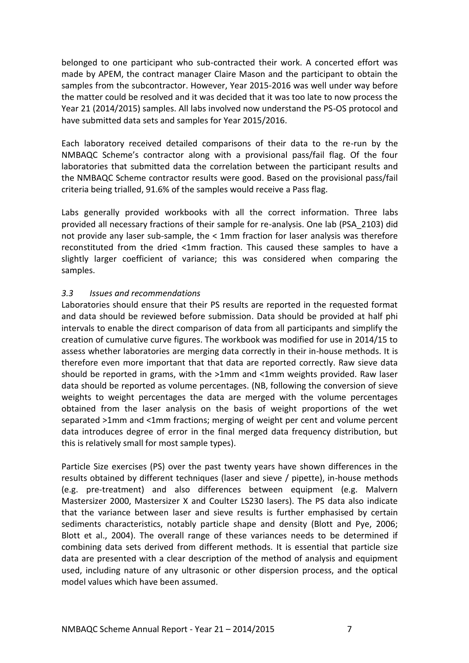belonged to one participant who sub-contracted their work. A concerted effort was made by APEM, the contract manager Claire Mason and the participant to obtain the samples from the subcontractor. However, Year 2015-2016 was well under way before the matter could be resolved and it was decided that it was too late to now process the Year 21 (2014/2015) samples. All labs involved now understand the PS-OS protocol and have submitted data sets and samples for Year 2015/2016.

Each laboratory received detailed comparisons of their data to the re-run by the NMBAQC Scheme's contractor along with a provisional pass/fail flag. Of the four laboratories that submitted data the correlation between the participant results and the NMBAQC Scheme contractor results were good. Based on the provisional pass/fail criteria being trialled, 91.6% of the samples would receive a Pass flag.

Labs generally provided workbooks with all the correct information. Three labs provided all necessary fractions of their sample for re-analysis. One lab (PSA\_2103) did not provide any laser sub-sample, the < 1mm fraction for laser analysis was therefore reconstituted from the dried <1mm fraction. This caused these samples to have a slightly larger coefficient of variance; this was considered when comparing the samples.

## <span id="page-8-0"></span>*3.3 Issues and recommendations*

Laboratories should ensure that their PS results are reported in the requested format and data should be reviewed before submission. Data should be provided at half phi intervals to enable the direct comparison of data from all participants and simplify the creation of cumulative curve figures. The workbook was modified for use in 2014/15 to assess whether laboratories are merging data correctly in their in-house methods. It is therefore even more important that that data are reported correctly. Raw sieve data should be reported in grams, with the >1mm and <1mm weights provided. Raw laser data should be reported as volume percentages. (NB, following the conversion of sieve weights to weight percentages the data are merged with the volume percentages obtained from the laser analysis on the basis of weight proportions of the wet separated >1mm and <1mm fractions; merging of weight per cent and volume percent data introduces degree of error in the final merged data frequency distribution, but this is relatively small for most sample types).

Particle Size exercises (PS) over the past twenty years have shown differences in the results obtained by different techniques (laser and sieve / pipette), in-house methods (e.g. pre-treatment) and also differences between equipment (e.g. Malvern Mastersizer 2000, Mastersizer X and Coulter LS230 lasers). The PS data also indicate that the variance between laser and sieve results is further emphasised by certain sediments characteristics, notably particle shape and density (Blott and Pye, 2006; Blott et al., 2004). The overall range of these variances needs to be determined if combining data sets derived from different methods. It is essential that particle size data are presented with a clear description of the method of analysis and equipment used, including nature of any ultrasonic or other dispersion process, and the optical model values which have been assumed.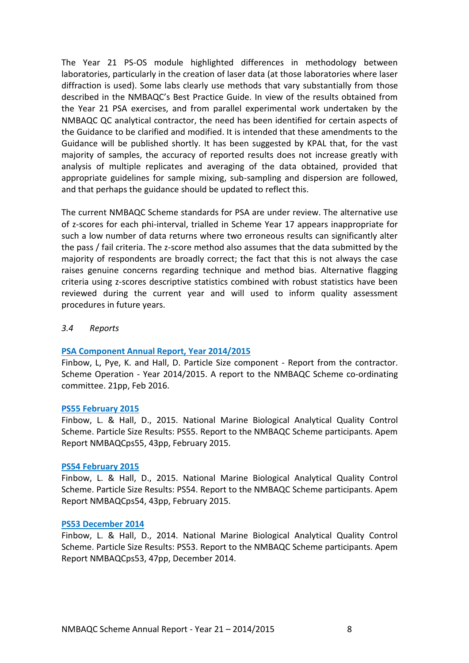The Year 21 PS-OS module highlighted differences in methodology between laboratories, particularly in the creation of laser data (at those laboratories where laser diffraction is used). Some labs clearly use methods that vary substantially from those described in the NMBAQC's Best Practice Guide. In view of the results obtained from the Year 21 PSA exercises, and from parallel experimental work undertaken by the NMBAQC QC analytical contractor, the need has been identified for certain aspects of the Guidance to be clarified and modified. It is intended that these amendments to the Guidance will be published shortly. It has been suggested by KPAL that, for the vast majority of samples, the accuracy of reported results does not increase greatly with analysis of multiple replicates and averaging of the data obtained, provided that appropriate guidelines for sample mixing, sub-sampling and dispersion are followed, and that perhaps the guidance should be updated to reflect this.

The current NMBAQC Scheme standards for PSA are under review. The alternative use of z-scores for each phi-interval, trialled in Scheme Year 17 appears inappropriate for such a low number of data returns where two erroneous results can significantly alter the pass / fail criteria. The z-score method also assumes that the data submitted by the majority of respondents are broadly correct; the fact that this is not always the case raises genuine concerns regarding technique and method bias. Alternative flagging criteria using z-scores descriptive statistics combined with robust statistics have been reviewed during the current year and will used to inform quality assessment procedures in future years.

#### <span id="page-9-0"></span>*3.4 Reports*

#### **[PSA Component Annual Report, Year 2014/2015](http://www.nmbaqcs.org/scheme-components/particle-size-analysis/reports/psa-2014-2015-annual-report/)**

Finbow, L, Pye, K. and Hall, D. Particle Size component - Report from the contractor. Scheme Operation - Year 2014/2015. A report to the NMBAQC Scheme co-ordinating committee. 21pp, Feb 2016.

#### **PS55 [February 2015](http://www.nmbaqcs.org/scheme-components/particle-size-analysis/reports/ps55/)**

Finbow, L. & Hall, D., 2015. National Marine Biological Analytical Quality Control Scheme. Particle Size Results: PS55. Report to the NMBAQC Scheme participants. Apem Report NMBAQCps55, 43pp, February 2015.

#### **PS54 [February 2015](http://www.nmbaqcs.org/scheme-components/particle-size-analysis/reports/ps54/)**

Finbow, L. & Hall, D., 2015. National Marine Biological Analytical Quality Control Scheme. Particle Size Results: PS54. Report to the NMBAQC Scheme participants. Apem Report NMBAQCps54, 43pp, February 2015.

#### **[PS53 December 2014](http://www.nmbaqcs.org/scheme-components/particle-size-analysis/reports/ps53/)**

Finbow, L. & Hall, D., 2014. National Marine Biological Analytical Quality Control Scheme. Particle Size Results: PS53. Report to the NMBAQC Scheme participants. Apem Report NMBAQCps53, 47pp, December 2014.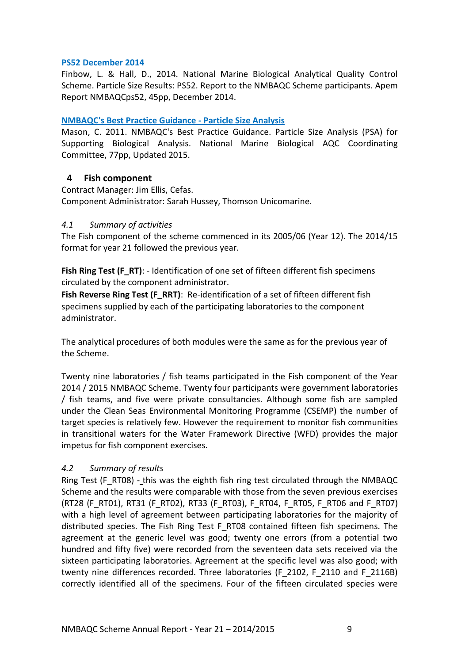## **PS52 [December 2014](http://www.nmbaqcs.org/scheme-components/particle-size-analysis/reports/ps52/)**

Finbow, L. & Hall, D., 2014. National Marine Biological Analytical Quality Control Scheme. Particle Size Results: PS52. Report to the NMBAQC Scheme participants. Apem Report NMBAQCps52, 45pp, December 2014.

## **[NMBAQC's Best Practice Guidance -](http://www.nmbaqcs.org/scheme-components/particle-size-analysis/reports/psa-guidance/) Particle Size Analysis**

Mason, C. 2011. NMBAQC's Best Practice Guidance. Particle Size Analysis (PSA) for Supporting Biological Analysis. National Marine Biological AQC Coordinating Committee, 77pp, Updated 2015.

# <span id="page-10-0"></span>**4 Fish component**

Contract Manager: Jim Ellis, Cefas. Component Administrator: Sarah Hussey, Thomson Unicomarine.

## <span id="page-10-1"></span>*4.1 Summary of activities*

The Fish component of the scheme commenced in its 2005/06 (Year 12). The 2014/15 format for year 21 followed the previous year.

Fish Ring Test (F\_RT): - Identification of one set of fifteen different fish specimens circulated by the component administrator.

**Fish Reverse Ring Test (F\_RRT)**: Re-identification of a set of fifteen different fish specimens supplied by each of the participating laboratories to the component administrator.

The analytical procedures of both modules were the same as for the previous year of the Scheme.

Twenty nine laboratories / fish teams participated in the Fish component of the Year 2014 / 2015 NMBAQC Scheme. Twenty four participants were government laboratories / fish teams, and five were private consultancies. Although some fish are sampled under the Clean Seas Environmental Monitoring Programme (CSEMP) the number of target species is relatively few. However the requirement to monitor fish communities in transitional waters for the Water Framework Directive (WFD) provides the major impetus for fish component exercises.

# <span id="page-10-2"></span>*4.2 Summary of results*

Ring Test (F\_RT08) - this was the eighth fish ring test circulated through the NMBAQC Scheme and the results were comparable with those from the seven previous exercises (RT28 (F\_RT01), RT31 (F\_RT02), RT33 (F\_RT03), F\_RT04, F\_RT05, F\_RT06 and F\_RT07) with a high level of agreement between participating laboratories for the majority of distributed species. The Fish Ring Test F\_RT08 contained fifteen fish specimens. The agreement at the generic level was good; twenty one errors (from a potential two hundred and fifty five) were recorded from the seventeen data sets received via the sixteen participating laboratories. Agreement at the specific level was also good; with twenty nine differences recorded. Three laboratories (F 2102, F 2110 and F 2116B) correctly identified all of the specimens. Four of the fifteen circulated species were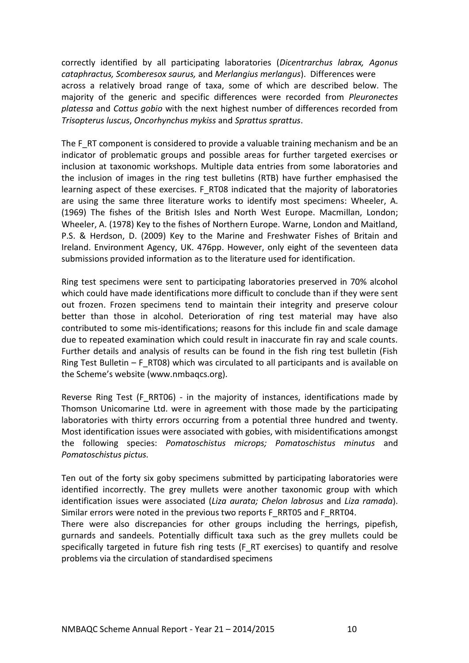correctly identified by all participating laboratories (*Dicentrarchus labrax, Agonus cataphractus, Scomberesox saurus,* and *Merlangius merlangus*). Differences were across a relatively broad range of taxa, some of which are described below. The majority of the generic and specific differences were recorded from *Pleuronectes platessa* and *Cottus gobio* with the next highest number of differences recorded from *Trisopterus luscus*, *Oncorhynchus mykiss* and *Sprattus sprattus*.

The F\_RT component is considered to provide a valuable training mechanism and be an indicator of problematic groups and possible areas for further targeted exercises or inclusion at taxonomic workshops. Multiple data entries from some laboratories and the inclusion of images in the ring test bulletins (RTB) have further emphasised the learning aspect of these exercises. F\_RT08 indicated that the majority of laboratories are using the same three literature works to identify most specimens: Wheeler, A. (1969) The fishes of the British Isles and North West Europe. Macmillan, London; Wheeler, A. (1978) Key to the fishes of Northern Europe. Warne, London and Maitland, P.S. & Herdson, D. (2009) Key to the Marine and Freshwater Fishes of Britain and Ireland. Environment Agency, UK. 476pp. However, only eight of the seventeen data submissions provided information as to the literature used for identification.

Ring test specimens were sent to participating laboratories preserved in 70% alcohol which could have made identifications more difficult to conclude than if they were sent out frozen. Frozen specimens tend to maintain their integrity and preserve colour better than those in alcohol. Deterioration of ring test material may have also contributed to some mis-identifications; reasons for this include fin and scale damage due to repeated examination which could result in inaccurate fin ray and scale counts. Further details and analysis of results can be found in the fish ring test bulletin (Fish Ring Test Bulletin – F\_RT08) which was circulated to all participants and is available on the Scheme's website (www.nmbaqcs.org).

Reverse Ring Test (F\_RRT06) - in the majority of instances, identifications made by Thomson Unicomarine Ltd. were in agreement with those made by the participating laboratories with thirty errors occurring from a potential three hundred and twenty. Most identification issues were associated with gobies, with misidentifications amongst the following species: *Pomatoschistus microps; Pomatoschistus minutus* and *Pomatoschistus pictus.*

Ten out of the forty six goby specimens submitted by participating laboratories were identified incorrectly. The grey mullets were another taxonomic group with which identification issues were associated (*Liza aurata; Chelon labrosus* and *Liza ramada*). Similar errors were noted in the previous two reports F\_RRT05 and F\_RRT04.

There were also discrepancies for other groups including the herrings, pipefish, gurnards and sandeels. Potentially difficult taxa such as the grey mullets could be specifically targeted in future fish ring tests (F\_RT exercises) to quantify and resolve problems via the circulation of standardised specimens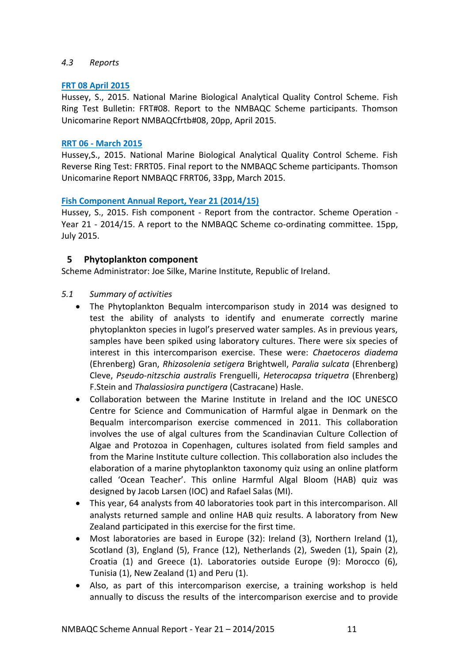## <span id="page-12-0"></span>*4.3 Reports*

## **[FRT 08 April 2015](http://www.nmbaqcs.org/scheme-components/fish/reports/frt08/)**

Hussey, S., 2015. National Marine Biological Analytical Quality Control Scheme. Fish Ring Test Bulletin: FRT#08. Report to the NMBAQC Scheme participants. Thomson Unicomarine Report NMBAQCfrtb#08, 20pp, April 2015.

## **RRT 06 - [March 2015](http://www.nmbaqcs.org/scheme-components/fish/reports/frrt06/)**

Hussey,S., 2015. National Marine Biological Analytical Quality Control Scheme. Fish Reverse Ring Test: FRRT05. Final report to the NMBAQC Scheme participants. Thomson Unicomarine Report NMBAQC FRRT06, 33pp, March 2015.

## **[Fish Component Annual Report, Year 21 \(2014/15\)](http://www.nmbaqcs.org/scheme-components/fish/reports/fish-annual-report/)**

Hussey, S., 2015. Fish component - Report from the contractor. Scheme Operation - Year 21 - 2014/15. A report to the NMBAQC Scheme co-ordinating committee. 15pp, July 2015.

# <span id="page-12-1"></span>**5 Phytoplankton component**

Scheme Administrator: Joe Silke, Marine Institute, Republic of Ireland.

- <span id="page-12-2"></span>*5.1 Summary of activities*
	- The Phytoplankton Bequalm intercomparison study in 2014 was designed to test the ability of analysts to identify and enumerate correctly marine phytoplankton species in lugol's preserved water samples. As in previous years, samples have been spiked using laboratory cultures. There were six species of interest in this intercomparison exercise. These were: *Chaetoceros diadema* (Ehrenberg) Gran, *Rhizosolenia setigera* Brightwell, *Paralia sulcata* (Ehrenberg) Cleve, *Pseudo-nitzschia australis* Frenguelli, *Heterocapsa triquetra* (Ehrenberg) F.Stein and *Thalassiosira punctigera* (Castracane) Hasle.
	- Collaboration between the Marine Institute in Ireland and the IOC UNESCO Centre for Science and Communication of Harmful algae in Denmark on the Bequalm intercomparison exercise commenced in 2011. This collaboration involves the use of algal cultures from the Scandinavian Culture Collection of Algae and Protozoa in Copenhagen, cultures isolated from field samples and from the Marine Institute culture collection. This collaboration also includes the elaboration of a marine phytoplankton taxonomy quiz using an online platform called 'Ocean Teacher'. This online Harmful Algal Bloom (HAB) quiz was designed by Jacob Larsen (IOC) and Rafael Salas (MI).
	- This year, 64 analysts from 40 laboratories took part in this intercomparison. All analysts returned sample and online HAB quiz results. A laboratory from New Zealand participated in this exercise for the first time.
	- Most laboratories are based in Europe (32): Ireland (3), Northern Ireland (1), Scotland (3), England (5), France (12), Netherlands (2), Sweden (1), Spain (2), Croatia (1) and Greece (1). Laboratories outside Europe (9): Morocco (6), Tunisia (1), New Zealand (1) and Peru (1).
	- Also, as part of this intercomparison exercise, a training workshop is held annually to discuss the results of the intercomparison exercise and to provide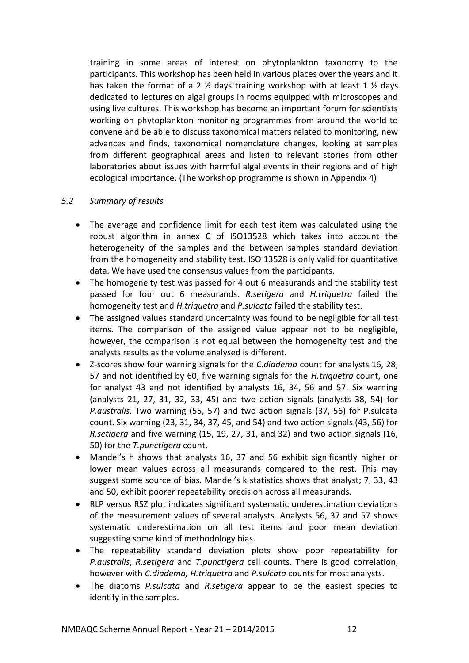training in some areas of interest on phytoplankton taxonomy to the participants. This workshop has been held in various places over the years and it has taken the format of a 2  $\frac{1}{2}$  days training workshop with at least 1  $\frac{1}{2}$  days dedicated to lectures on algal groups in rooms equipped with microscopes and using live cultures. This workshop has become an important forum for scientists working on phytoplankton monitoring programmes from around the world to convene and be able to discuss taxonomical matters related to monitoring, new advances and finds, taxonomical nomenclature changes, looking at samples from different geographical areas and listen to relevant stories from other laboratories about issues with harmful algal events in their regions and of high ecological importance. (The workshop programme is shown in Appendix 4)

## <span id="page-13-0"></span>*5.2 Summary of results*

- The average and confidence limit for each test item was calculated using the robust algorithm in annex C of ISO13528 which takes into account the heterogeneity of the samples and the between samples standard deviation from the homogeneity and stability test. ISO 13528 is only valid for quantitative data. We have used the consensus values from the participants.
- The homogeneity test was passed for 4 out 6 measurands and the stability test passed for four out 6 measurands. *R.setigera* and *H.triquetra* failed the homogeneity test and *H.triquetra* and *P.sulcata* failed the stability test.
- The assigned values standard uncertainty was found to be negligible for all test items. The comparison of the assigned value appear not to be negligible, however, the comparison is not equal between the homogeneity test and the analysts results as the volume analysed is different.
- Z-scores show four warning signals for the *C.diadema* count for analysts 16, 28, 57 and not identified by 60, five warning signals for the *H.triquetra* count, one for analyst 43 and not identified by analysts 16, 34, 56 and 57. Six warning (analysts 21, 27, 31, 32, 33, 45) and two action signals (analysts 38, 54) for *P.australis*. Two warning (55, 57) and two action signals (37, 56) for P.sulcata count. Six warning (23, 31, 34, 37, 45, and 54) and two action signals (43, 56) for *R.setigera* and five warning (15, 19, 27, 31, and 32) and two action signals (16, 50) for the *T.punctigera* count.
- Mandel's h shows that analysts 16, 37 and 56 exhibit significantly higher or lower mean values across all measurands compared to the rest. This may suggest some source of bias. Mandel's k statistics shows that analyst; 7, 33, 43 and 50, exhibit poorer repeatability precision across all measurands.
- RLP versus RSZ plot indicates significant systematic underestimation deviations of the measurement values of several analysts. Analysts 56, 37 and 57 shows systematic underestimation on all test items and poor mean deviation suggesting some kind of methodology bias.
- The repeatability standard deviation plots show poor repeatability for *P.australis*, *R.setigera* and *T.punctigera* cell counts. There is good correlation, however with *C.diadema, H.triquetra* and *P.sulcata* counts for most analysts.
- The diatoms *P.sulcata* and *R.setigera* appear to be the easiest species to identify in the samples.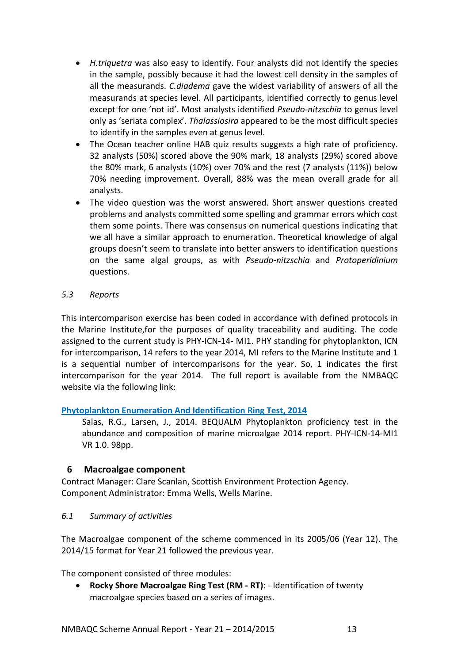- *H.triquetra* was also easy to identify. Four analysts did not identify the species in the sample, possibly because it had the lowest cell density in the samples of all the measurands. *C.diadema* gave the widest variability of answers of all the measurands at species level. All participants, identified correctly to genus level except for one 'not id'. Most analysts identified *Pseudo-nitzschia* to genus level only as 'seriata complex'. *Thalassiosira* appeared to be the most difficult species to identify in the samples even at genus level.
- The Ocean teacher online HAB quiz results suggests a high rate of proficiency. 32 analysts (50%) scored above the 90% mark, 18 analysts (29%) scored above the 80% mark, 6 analysts (10%) over 70% and the rest (7 analysts (11%)) below 70% needing improvement. Overall, 88% was the mean overall grade for all analysts.
- The video question was the worst answered. Short answer questions created problems and analysts committed some spelling and grammar errors which cost them some points. There was consensus on numerical questions indicating that we all have a similar approach to enumeration. Theoretical knowledge of algal groups doesn't seem to translate into better answers to identification questions on the same algal groups, as with *Pseudo-nitzschia* and *Protoperidinium* questions.

## <span id="page-14-0"></span>*5.3 Reports*

This intercomparison exercise has been coded in accordance with defined protocols in the Marine Institute,for the purposes of quality traceability and auditing. The code assigned to the current study is PHY-ICN-14- MI1. PHY standing for phytoplankton, ICN for intercomparison, 14 refers to the year 2014, MI refers to the Marine Institute and 1 is a sequential number of intercomparisons for the year. So, 1 indicates the first intercomparison for the year 2014. The full report is available from the NMBAQC website via the following link:

# **[Phytoplankton Enumeration And Identification Ring Test, 2014](http://www.nmbaqcs.org/scheme-components/phytoplankton/reports/phy-icn-14-mi1/)**

Salas, R.G., Larsen, J., 2014. BEQUALM Phytoplankton proficiency test in the abundance and composition of marine microalgae 2014 report. PHY-ICN-14-MI1 VR 1.0. 98pp.

# <span id="page-14-1"></span>**6 Macroalgae component**

Contract Manager: Clare Scanlan, Scottish Environment Protection Agency. Component Administrator: Emma Wells, Wells Marine.

# <span id="page-14-2"></span>*6.1 Summary of activities*

The Macroalgae component of the scheme commenced in its 2005/06 (Year 12). The 2014/15 format for Year 21 followed the previous year.

The component consisted of three modules:

 **Rocky Shore Macroalgae Ring Test (RM - RT)**: - Identification of twenty macroalgae species based on a series of images.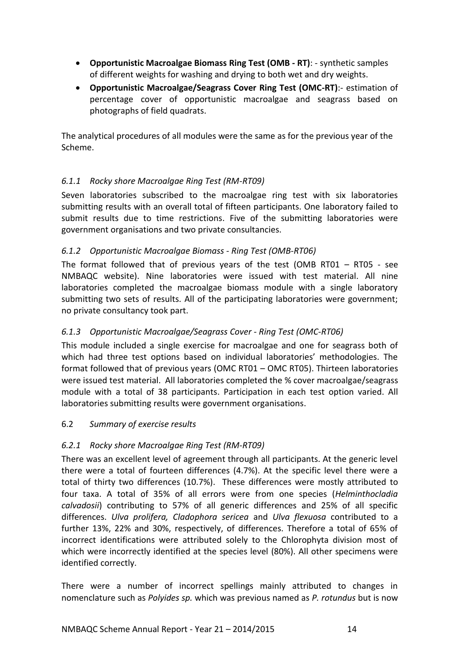- **Opportunistic Macroalgae Biomass Ring Test (OMB - RT)**: synthetic samples of different weights for washing and drying to both wet and dry weights.
- **Opportunistic Macroalgae/Seagrass Cover Ring Test (OMC-RT)**:- estimation of percentage cover of opportunistic macroalgae and seagrass based on photographs of field quadrats.

The analytical procedures of all modules were the same as for the previous year of the Scheme.

# <span id="page-15-0"></span>*6.1.1 Rocky shore Macroalgae Ring Test (RM-RT09)*

Seven laboratories subscribed to the macroalgae ring test with six laboratories submitting results with an overall total of fifteen participants. One laboratory failed to submit results due to time restrictions. Five of the submitting laboratories were government organisations and two private consultancies.

# <span id="page-15-1"></span>*6.1.2 Opportunistic Macroalgae Biomass - Ring Test (OMB-RT06)*

The format followed that of previous years of the test (OMB RT01 – RT05 - see NMBAQC website). Nine laboratories were issued with test material. All nine laboratories completed the macroalgae biomass module with a single laboratory submitting two sets of results. All of the participating laboratories were government; no private consultancy took part.

# <span id="page-15-2"></span>*6.1.3 Opportunistic Macroalgae/Seagrass Cover - Ring Test (OMC-RT06)*

This module included a single exercise for macroalgae and one for seagrass both of which had three test options based on individual laboratories' methodologies. The format followed that of previous years (OMC RT01 – OMC RT05). Thirteen laboratories were issued test material. All laboratories completed the % cover macroalgae/seagrass module with a total of 38 participants. Participation in each test option varied. All laboratories submitting results were government organisations.

# <span id="page-15-3"></span>6.2 *Summary of exercise results*

# <span id="page-15-4"></span>*6.2.1 Rocky shore Macroalgae Ring Test (RM-RT09)*

There was an excellent level of agreement through all participants. At the generic level there were a total of fourteen differences (4.7%). At the specific level there were a total of thirty two differences (10.7%). These differences were mostly attributed to four taxa. A total of 35% of all errors were from one species (*Helminthocladia calvadosii*) contributing to 57% of all generic differences and 25% of all specific differences. *Ulva prolifera, Cladophora sericea* and *Ulva flexuosa* contributed to a further 13%, 22% and 30%, respectively, of differences. Therefore a total of 65% of incorrect identifications were attributed solely to the Chlorophyta division most of which were incorrectly identified at the species level (80%). All other specimens were identified correctly.

There were a number of incorrect spellings mainly attributed to changes in nomenclature such as *Polyides sp.* which was previous named as *P. rotundus* but is now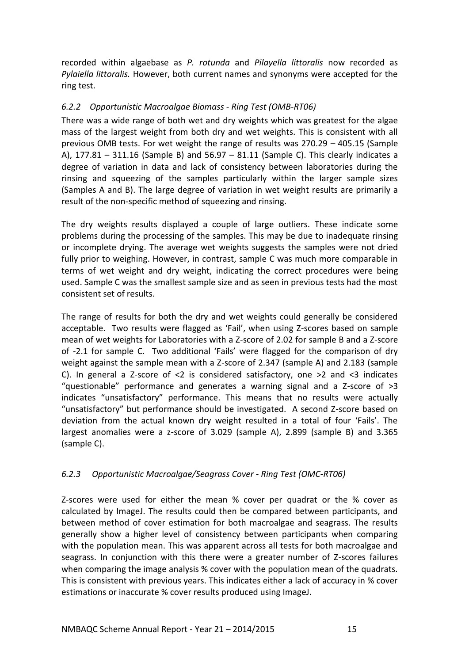recorded within algaebase as *P. rotunda* and *Pilayella littoralis* now recorded as *Pylaiella littoralis.* However, both current names and synonyms were accepted for the ring test.

# <span id="page-16-0"></span>*6.2.2 Opportunistic Macroalgae Biomass - Ring Test (OMB-RT06)*

There was a wide range of both wet and dry weights which was greatest for the algae mass of the largest weight from both dry and wet weights. This is consistent with all previous OMB tests. For wet weight the range of results was 270.29 – 405.15 (Sample A), 177.81 – 311.16 (Sample B) and 56.97 – 81.11 (Sample C). This clearly indicates a degree of variation in data and lack of consistency between laboratories during the rinsing and squeezing of the samples particularly within the larger sample sizes (Samples A and B). The large degree of variation in wet weight results are primarily a result of the non-specific method of squeezing and rinsing.

The dry weights results displayed a couple of large outliers. These indicate some problems during the processing of the samples. This may be due to inadequate rinsing or incomplete drying. The average wet weights suggests the samples were not dried fully prior to weighing. However, in contrast, sample C was much more comparable in terms of wet weight and dry weight, indicating the correct procedures were being used. Sample C was the smallest sample size and as seen in previous tests had the most consistent set of results.

The range of results for both the dry and wet weights could generally be considered acceptable. Two results were flagged as 'Fail', when using Z-scores based on sample mean of wet weights for Laboratories with a Z-score of 2.02 for sample B and a Z-score of -2.1 for sample C. Two additional 'Fails' were flagged for the comparison of dry weight against the sample mean with a Z-score of 2.347 (sample A) and 2.183 (sample C). In general a Z-score of  $\leq 2$  is considered satisfactory, one  $\geq 2$  and  $\leq 3$  indicates "questionable" performance and generates a warning signal and a Z-score of >3 indicates "unsatisfactory" performance. This means that no results were actually "unsatisfactory" but performance should be investigated. A second Z-score based on deviation from the actual known dry weight resulted in a total of four 'Fails'. The largest anomalies were a z-score of 3.029 (sample A), 2.899 (sample B) and 3.365 (sample C).

# <span id="page-16-1"></span>*6.2.3 Opportunistic Macroalgae/Seagrass Cover - Ring Test (OMC-RT06)*

Z-scores were used for either the mean % cover per quadrat or the % cover as calculated by ImageJ. The results could then be compared between participants, and between method of cover estimation for both macroalgae and seagrass. The results generally show a higher level of consistency between participants when comparing with the population mean. This was apparent across all tests for both macroalgae and seagrass. In conjunction with this there were a greater number of Z-scores failures when comparing the image analysis % cover with the population mean of the quadrats. This is consistent with previous years. This indicates either a lack of accuracy in % cover estimations or inaccurate % cover results produced using ImageJ.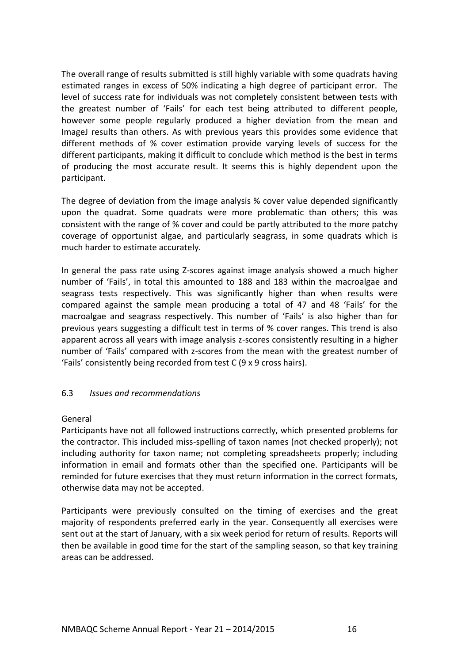The overall range of results submitted is still highly variable with some quadrats having estimated ranges in excess of 50% indicating a high degree of participant error. The level of success rate for individuals was not completely consistent between tests with the greatest number of 'Fails' for each test being attributed to different people, however some people regularly produced a higher deviation from the mean and ImageJ results than others. As with previous years this provides some evidence that different methods of % cover estimation provide varying levels of success for the different participants, making it difficult to conclude which method is the best in terms of producing the most accurate result. It seems this is highly dependent upon the participant.

The degree of deviation from the image analysis % cover value depended significantly upon the quadrat. Some quadrats were more problematic than others; this was consistent with the range of % cover and could be partly attributed to the more patchy coverage of opportunist algae, and particularly seagrass, in some quadrats which is much harder to estimate accurately.

In general the pass rate using Z-scores against image analysis showed a much higher number of 'Fails', in total this amounted to 188 and 183 within the macroalgae and seagrass tests respectively. This was significantly higher than when results were compared against the sample mean producing a total of 47 and 48 'Fails' for the macroalgae and seagrass respectively. This number of 'Fails' is also higher than for previous years suggesting a difficult test in terms of % cover ranges. This trend is also apparent across all years with image analysis z-scores consistently resulting in a higher number of 'Fails' compared with z-scores from the mean with the greatest number of 'Fails' consistently being recorded from test C (9 x 9 cross hairs).

# <span id="page-17-0"></span>6.3 *Issues and recommendations*

## General

Participants have not all followed instructions correctly, which presented problems for the contractor. This included miss-spelling of taxon names (not checked properly); not including authority for taxon name; not completing spreadsheets properly; including information in email and formats other than the specified one. Participants will be reminded for future exercises that they must return information in the correct formats, otherwise data may not be accepted.

Participants were previously consulted on the timing of exercises and the great majority of respondents preferred early in the year. Consequently all exercises were sent out at the start of January, with a six week period for return of results. Reports will then be available in good time for the start of the sampling season, so that key training areas can be addressed.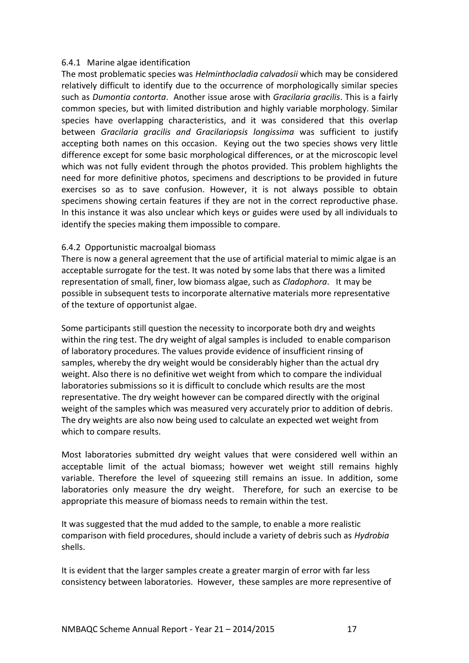## 6.4.1 Marine algae identification

The most problematic species was *Helminthocladia calvadosii* which may be considered relatively difficult to identify due to the occurrence of morphologically similar species such as *Dumontia contorta*. Another issue arose with *Gracilaria gracilis*. This is a fairly common species, but with limited distribution and highly variable morphology. Similar species have overlapping characteristics, and it was considered that this overlap between *Gracilaria gracilis and Gracilariopsis longissima* was sufficient to justify accepting both names on this occasion. Keying out the two species shows very little difference except for some basic morphological differences, or at the microscopic level which was not fully evident through the photos provided. This problem highlights the need for more definitive photos, specimens and descriptions to be provided in future exercises so as to save confusion. However, it is not always possible to obtain specimens showing certain features if they are not in the correct reproductive phase. In this instance it was also unclear which keys or guides were used by all individuals to identify the species making them impossible to compare.

## 6.4.2 Opportunistic macroalgal biomass

There is now a general agreement that the use of artificial material to mimic algae is an acceptable surrogate for the test. It was noted by some labs that there was a limited representation of small, finer, low biomass algae, such as *Cladophora*. It may be possible in subsequent tests to incorporate alternative materials more representative of the texture of opportunist algae.

Some participants still question the necessity to incorporate both dry and weights within the ring test. The dry weight of algal samples is included to enable comparison of laboratory procedures. The values provide evidence of insufficient rinsing of samples, whereby the dry weight would be considerably higher than the actual dry weight. Also there is no definitive wet weight from which to compare the individual laboratories submissions so it is difficult to conclude which results are the most representative. The dry weight however can be compared directly with the original weight of the samples which was measured very accurately prior to addition of debris. The dry weights are also now being used to calculate an expected wet weight from which to compare results.

Most laboratories submitted dry weight values that were considered well within an acceptable limit of the actual biomass; however wet weight still remains highly variable. Therefore the level of squeezing still remains an issue. In addition, some laboratories only measure the dry weight. Therefore, for such an exercise to be appropriate this measure of biomass needs to remain within the test.

It was suggested that the mud added to the sample, to enable a more realistic comparison with field procedures, should include a variety of debris such as *Hydrobia*  shells.

It is evident that the larger samples create a greater margin of error with far less consistency between laboratories. However, these samples are more representive of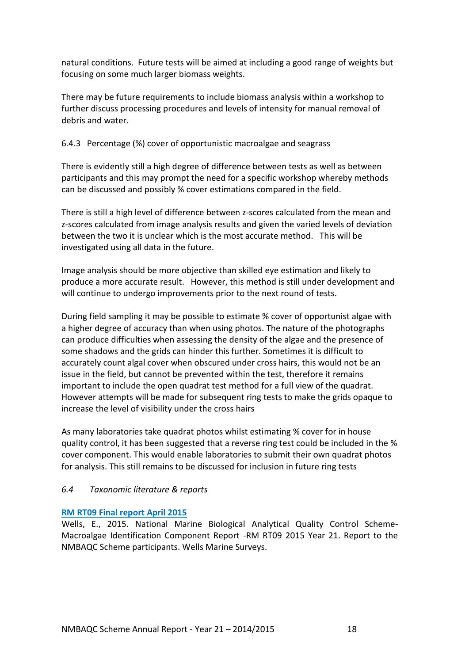natural conditions. Future tests will be aimed at including a good range of weights but focusing on some much larger biomass weights.

There may be future requirements to include biomass analysis within a workshop to further discuss processing procedures and levels of intensity for manual removal of debris and water.

# 6.4.3 Percentage (%) cover of opportunistic macroalgae and seagrass

There is evidently still a high degree of difference between tests as well as between participants and this may prompt the need for a specific workshop whereby methods can be discussed and possibly % cover estimations compared in the field.

There is still a high level of difference between z-scores calculated from the mean and z-scores calculated from image analysis results and given the varied levels of deviation between the two it is unclear which is the most accurate method. This will be investigated using all data in the future.

Image analysis should be more objective than skilled eye estimation and likely to produce a more accurate result. However, this method is still under development and will continue to undergo improvements prior to the next round of tests.

During field sampling it may be possible to estimate % cover of opportunist algae with a higher degree of accuracy than when using photos. The nature of the photographs can produce difficulties when assessing the density of the algae and the presence of some shadows and the grids can hinder this further. Sometimes it is difficult to accurately count algal cover when obscured under cross hairs, this would not be an issue in the field, but cannot be prevented within the test, therefore it remains important to include the open quadrat test method for a full view of the quadrat. However attempts will be made for subsequent ring tests to make the grids opaque to increase the level of visibility under the cross hairs

As many laboratories take quadrat photos whilst estimating % cover for in house quality control, it has been suggested that a reverse ring test could be included in the % cover component. This would enable laboratories to submit their own quadrat photos for analysis. This still remains to be discussed for inclusion in future ring tests

# <span id="page-19-0"></span>*6.4 Taxonomic literature & reports*

# **RM RT09 [Final report April 2015](http://www.nmbaqcs.org/scheme-components/macroalgae/reports/rm-rt09-final-report/)**

Wells, E., 2015. National Marine Biological Analytical Quality Control Scheme-Macroalgae Identification Component Report -RM RT09 2015 Year 21. Report to the NMBAQC Scheme participants. Wells Marine Surveys.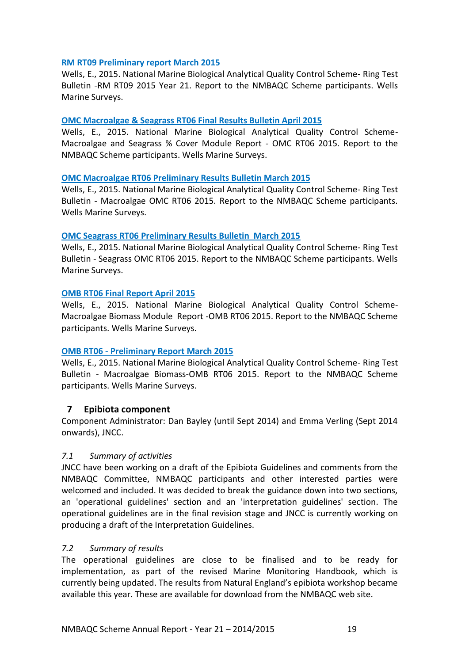## **RM RT09 [Preliminary report March 2015](http://www.nmbaqcs.org/scheme-components/macroalgae/reports/rm-rt09-preliminary-results-bulletin/)**

Wells, E., 2015. National Marine Biological Analytical Quality Control Scheme- Ring Test Bulletin -RM RT09 2015 Year 21. Report to the NMBAQC Scheme participants. Wells Marine Surveys.

## **[OMC Macroalgae & Seagrass RT06 Final Results Bulletin April 2015](http://www.nmbaqcs.org/scheme-components/macroalgae/reports/omc-rt06-macroalgae-seagrass-final-report/)**

Wells, E., 2015. National Marine Biological Analytical Quality Control Scheme-Macroalgae and Seagrass % Cover Module Report - OMC RT06 2015. Report to the NMBAQC Scheme participants. Wells Marine Surveys.

## **[OMC Macroalgae RT06 Preliminary Results Bulletin March 2015](http://www.nmbaqcs.org/scheme-components/macroalgae/reports/omc-rt06-macroalgae-preliminary-bulletin/)**

Wells, E., 2015. National Marine Biological Analytical Quality Control Scheme- Ring Test Bulletin - Macroalgae OMC RT06 2015. Report to the NMBAQC Scheme participants. Wells Marine Surveys.

## **[OMC Seagrass RT06 Preliminary Results Bulletin March 2015](http://www.nmbaqcs.org/scheme-components/macroalgae/reports/omc-rt06-seagrass-preliminary-bulletin/)**

Wells, E., 2015. National Marine Biological Analytical Quality Control Scheme- Ring Test Bulletin - Seagrass OMC RT06 2015. Report to the NMBAQC Scheme participants. Wells Marine Surveys.

## **[OMB RT06 Final Report April 2015](http://www.nmbaqcs.org/scheme-components/macroalgae/reports/omb-rt06-final-report/)**

Wells, E., 2015. National Marine Biological Analytical Quality Control Scheme-Macroalgae Biomass Module Report -OMB RT06 2015. Report to the NMBAQC Scheme participants. Wells Marine Surveys.

## **OMB RT06 - [Preliminary Report March 2015](http://www.nmbaqcs.org/scheme-components/macroalgae/reports/omb-rt06-preliminary-bulletin/)**

Wells, E., 2015. National Marine Biological Analytical Quality Control Scheme- Ring Test Bulletin - Macroalgae Biomass-OMB RT06 2015. Report to the NMBAQC Scheme participants. Wells Marine Surveys.

# <span id="page-20-0"></span>**7 Epibiota component**

Component Administrator: Dan Bayley (until Sept 2014) and Emma Verling (Sept 2014 onwards), JNCC.

# <span id="page-20-1"></span>*7.1 Summary of activities*

JNCC have been working on a draft of the Epibiota Guidelines and comments from the NMBAQC Committee, NMBAQC participants and other interested parties were welcomed and included. It was decided to break the guidance down into two sections, an 'operational guidelines' section and an 'interpretation guidelines' section. The operational guidelines are in the final revision stage and JNCC is currently working on producing a draft of the Interpretation Guidelines.

# <span id="page-20-2"></span>*7.2 Summary of results*

The operational guidelines are close to be finalised and to be ready for implementation, as part of the revised Marine Monitoring Handbook, which is currently being updated. The results from Natural England's epibiota workshop became available this year. These are available for download from the NMBAQC web site.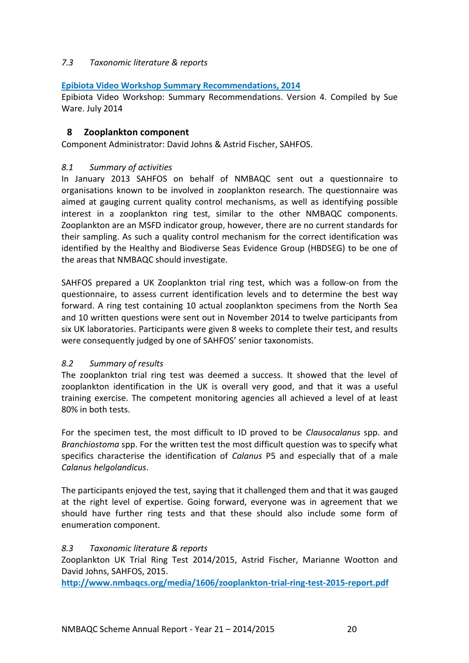# <span id="page-21-0"></span>*7.3 Taxonomic literature & reports*

## **[Epibiota Video Workshop Summary Recommendations, 2014](http://www.nmbaqcs.org/scheme-components/epibiota/epibiota-video-workshop/)**

Epibiota Video Workshop: Summary Recommendations. Version 4. Compiled by Sue Ware. July 2014

## <span id="page-21-1"></span>**8 Zooplankton component**

Component Administrator: David Johns & Astrid Fischer, SAHFOS.

## <span id="page-21-2"></span>*8.1 Summary of activities*

In January 2013 SAHFOS on behalf of NMBAQC sent out a questionnaire to organisations known to be involved in zooplankton research. The questionnaire was aimed at gauging current quality control mechanisms, as well as identifying possible interest in a zooplankton ring test, similar to the other NMBAQC components. Zooplankton are an MSFD indicator group, however, there are no current standards for their sampling. As such a quality control mechanism for the correct identification was identified by the Healthy and Biodiverse Seas Evidence Group (HBDSEG) to be one of the areas that NMBAQC should investigate.

SAHFOS prepared a UK Zooplankton trial ring test, which was a follow-on from the questionnaire, to assess current identification levels and to determine the best way forward. A ring test containing 10 actual zooplankton specimens from the North Sea and 10 written questions were sent out in November 2014 to twelve participants from six UK laboratories. Participants were given 8 weeks to complete their test, and results were consequently judged by one of SAHFOS' senior taxonomists.

# <span id="page-21-3"></span>*8.2 Summary of results*

The zooplankton trial ring test was deemed a success. It showed that the level of zooplankton identification in the UK is overall very good, and that it was a useful training exercise. The competent monitoring agencies all achieved a level of at least 80% in both tests.

For the specimen test, the most difficult to ID proved to be *Clausocalanus* spp. and *Branchiostoma* spp. For the written test the most difficult question was to specify what specifics characterise the identification of *Calanus* P5 and especially that of a male *Calanus helgolandicus*.

The participants enjoyed the test, saying that it challenged them and that it was gauged at the right level of expertise. Going forward, everyone was in agreement that we should have further ring tests and that these should also include some form of enumeration component.

# <span id="page-21-4"></span>*8.3 Taxonomic literature & reports*

Zooplankton UK Trial Ring Test 2014/2015, Astrid Fischer, Marianne Wootton and David Johns, SAHFOS, 2015.

**<http://www.nmbaqcs.org/media/1606/zooplankton-trial-ring-test-2015-report.pdf>**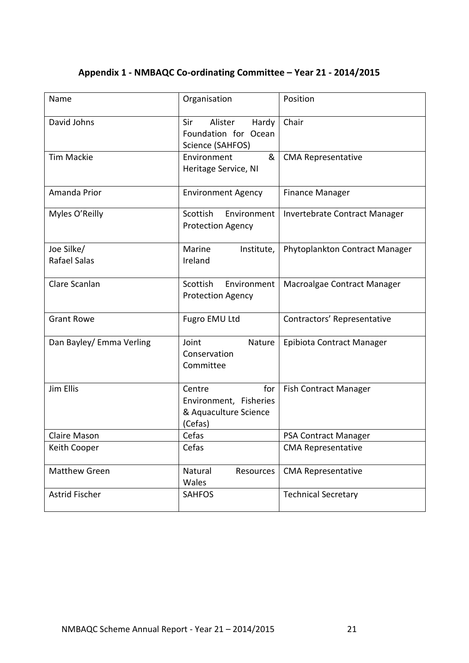# <span id="page-22-0"></span>**Appendix 1 - NMBAQC Co-ordinating Committee – Year 21 - 2014/2015**

| Name                       | Organisation                                                                | Position                       |  |  |
|----------------------------|-----------------------------------------------------------------------------|--------------------------------|--|--|
| David Johns                | Sir<br>Alister<br>Hardy<br>Foundation for Ocean<br>Science (SAHFOS)         | Chair                          |  |  |
| <b>Tim Mackie</b>          | Environment<br>&<br>Heritage Service, NI                                    | <b>CMA Representative</b>      |  |  |
| Amanda Prior               | <b>Environment Agency</b>                                                   | <b>Finance Manager</b>         |  |  |
| Myles O'Reilly             | Scottish<br>Environment<br><b>Protection Agency</b>                         | Invertebrate Contract Manager  |  |  |
| Joe Silke/<br>Rafael Salas | Marine<br>Institute,<br>Ireland                                             | Phytoplankton Contract Manager |  |  |
| Clare Scanlan              | Scottish<br>Environment<br><b>Protection Agency</b>                         | Macroalgae Contract Manager    |  |  |
| <b>Grant Rowe</b>          | Fugro EMU Ltd                                                               | Contractors' Representative    |  |  |
| Dan Bayley/ Emma Verling   | Joint<br>Nature<br>Conservation<br>Committee                                | Epibiota Contract Manager      |  |  |
| Jim Ellis                  | Centre<br>for<br>Environment, Fisheries<br>& Aquaculture Science<br>(Cefas) | <b>Fish Contract Manager</b>   |  |  |
| <b>Claire Mason</b>        | Cefas                                                                       | <b>PSA Contract Manager</b>    |  |  |
| Keith Cooper               | Cefas                                                                       | <b>CMA Representative</b>      |  |  |
| <b>Matthew Green</b>       | Natural<br>Resources<br>Wales                                               | <b>CMA Representative</b>      |  |  |
| Astrid Fischer             | <b>SAHFOS</b>                                                               | <b>Technical Secretary</b>     |  |  |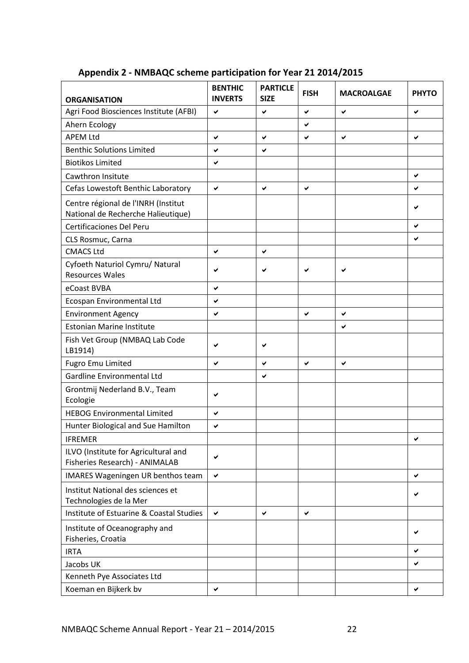| <b>ORGANISATION</b>                                                       | <b>BENTHIC</b><br><b>INVERTS</b> | <b>PARTICLE</b><br><b>SIZE</b> | <b>FISH</b> | <b>MACROALGAE</b> | <b>PHYTO</b> |
|---------------------------------------------------------------------------|----------------------------------|--------------------------------|-------------|-------------------|--------------|
| Agri Food Biosciences Institute (AFBI)                                    | ✔                                | ✔                              | ✔           | ✔                 | ✔            |
| Ahern Ecology                                                             |                                  |                                | ✔           |                   |              |
| <b>APEM Ltd</b>                                                           | ✔                                | $\checkmark$                   | ✔           | ✔                 | ✔            |
| <b>Benthic Solutions Limited</b>                                          | ✓                                | ✔                              |             |                   |              |
| <b>Biotikos Limited</b>                                                   | ✔                                |                                |             |                   |              |
| Cawthron Insitute                                                         |                                  |                                |             |                   | ✔            |
| Cefas Lowestoft Benthic Laboratory                                        | $\checkmark$                     | $\checkmark$                   | ✓           |                   | ✓            |
| Centre régional de l'INRH (Institut<br>National de Recherche Halieutique) |                                  |                                |             |                   |              |
| Certificaciones Del Peru                                                  |                                  |                                |             |                   | ✔            |
| CLS Rosmuc, Carna                                                         |                                  |                                |             |                   | ✔            |
| <b>CMACS Ltd</b>                                                          | ✔                                | ✔                              |             |                   |              |
| Cyfoeth Naturiol Cymru/ Natural<br><b>Resources Wales</b>                 | ✔                                | ✔                              |             | ✔                 |              |
| eCoast BVBA                                                               | ✔                                |                                |             |                   |              |
| Ecospan Environmental Ltd                                                 | ✔                                |                                |             |                   |              |
| <b>Environment Agency</b>                                                 | ✔                                |                                | ✔           | ✔                 |              |
| <b>Estonian Marine Institute</b>                                          |                                  |                                |             | ✔                 |              |
| Fish Vet Group (NMBAQ Lab Code<br>LB1914)                                 | ✔                                | ✔                              |             |                   |              |
| <b>Fugro Emu Limited</b>                                                  | ✔                                | $\checkmark$                   | ✔           | ✔                 |              |
| Gardline Environmental Ltd                                                |                                  | ✔                              |             |                   |              |
| Grontmij Nederland B.V., Team<br>Ecologie                                 | ✔                                |                                |             |                   |              |
| <b>HEBOG Environmental Limited</b>                                        | ✔                                |                                |             |                   |              |
| Hunter Biological and Sue Hamilton                                        | ✓                                |                                |             |                   |              |
| <b>IFREMER</b>                                                            |                                  |                                |             |                   | ✔            |
| ILVO (Institute for Agricultural and<br>Fisheries Research) - ANIMALAB    | ✔                                |                                |             |                   |              |
| <b>IMARES Wageningen UR benthos team</b>                                  | $\checkmark$                     |                                |             |                   | ✔            |
| Institut National des sciences et<br>Technologies de la Mer               |                                  |                                |             |                   | ✔            |
| Institute of Estuarine & Coastal Studies                                  | $\checkmark$                     | ✔                              | ✔           |                   |              |
| Institute of Oceanography and<br>Fisheries, Croatia                       |                                  |                                |             |                   | ✔            |
| <b>IRTA</b>                                                               |                                  |                                |             |                   | ✔            |
| Jacobs UK                                                                 |                                  |                                |             |                   | ✔            |
| Kenneth Pye Associates Ltd                                                |                                  |                                |             |                   |              |
| Koeman en Bijkerk bv                                                      | ✔                                |                                |             |                   | ✔            |

# <span id="page-23-0"></span>**Appendix 2 - NMBAQC scheme participation for Year 21 2014/2015**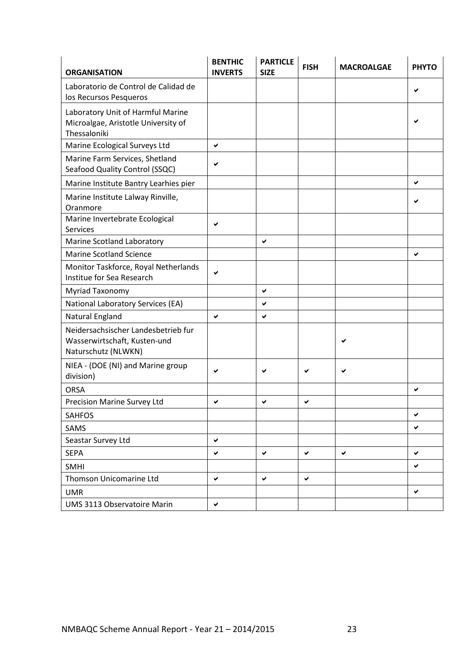| <b>ORGANISATION</b>                                                                        | <b>BENTHIC</b><br><b>INVERTS</b> | <b>PARTICLE</b><br><b>SIZE</b> | <b>FISH</b> | <b>MACROALGAE</b> | <b>PHYTO</b> |
|--------------------------------------------------------------------------------------------|----------------------------------|--------------------------------|-------------|-------------------|--------------|
| Laboratorio de Control de Calidad de<br>los Recursos Pesqueros                             |                                  |                                |             |                   |              |
| Laboratory Unit of Harmful Marine<br>Microalgae, Aristotle University of<br>Thessaloniki   |                                  |                                |             |                   |              |
| Marine Ecological Surveys Ltd                                                              | ✔                                |                                |             |                   |              |
| Marine Farm Services, Shetland<br>Seafood Quality Control (SSQC)                           |                                  |                                |             |                   |              |
| Marine Institute Bantry Learhies pier                                                      |                                  |                                |             |                   | ✔            |
| Marine Institute Lalway Rinville,<br>Oranmore                                              |                                  |                                |             |                   |              |
| Marine Invertebrate Ecological<br><b>Services</b>                                          | ✔                                |                                |             |                   |              |
| Marine Scotland Laboratory                                                                 |                                  | $\checkmark$                   |             |                   |              |
| <b>Marine Scotland Science</b>                                                             |                                  |                                |             |                   | ✔            |
| Monitor Taskforce, Royal Netherlands<br>Institue for Sea Research                          |                                  |                                |             |                   |              |
| Myriad Taxonomy                                                                            |                                  | $\checkmark$                   |             |                   |              |
| National Laboratory Services (EA)                                                          |                                  | ✔                              |             |                   |              |
| Natural England                                                                            | ✔                                | ✔                              |             |                   |              |
| Neidersachsischer Landesbetrieb fur<br>Wasserwirtschaft, Kusten-und<br>Naturschutz (NLWKN) |                                  |                                |             |                   |              |
| NIEA - (DOE (NI) and Marine group<br>division)                                             | ✔                                | ✔                              |             | ✔                 |              |
| <b>ORSA</b>                                                                                |                                  |                                |             |                   | ✔            |
| Precision Marine Survey Ltd                                                                | ✔                                | ✔                              | ✔           |                   |              |
| <b>SAHFOS</b>                                                                              |                                  |                                |             |                   | ✔            |
| SAMS                                                                                       |                                  |                                |             |                   | ✔            |
| Seastar Survey Ltd                                                                         | ✔                                |                                |             |                   |              |
| <b>SEPA</b>                                                                                | ✔                                | ✔                              | ✔           | ✔                 | ✔            |
| <b>SMHI</b>                                                                                |                                  |                                |             |                   | ✔            |
| Thomson Unicomarine Ltd                                                                    | ✔                                | ✔                              | ✔           |                   |              |
| <b>UMR</b>                                                                                 |                                  |                                |             |                   | ✔            |
| UMS 3113 Observatoire Marin                                                                | ✔                                |                                |             |                   |              |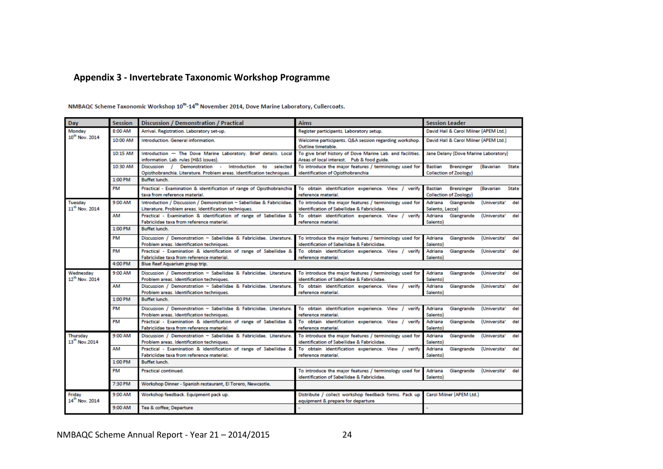#### **Appendix 3 - Invertebrate Taxonomic Workshop Programme**

<span id="page-25-0"></span>Session **Discussion / Demonstration / Practical Session Leader** Day **Aims** Monday 8:00 AM David Hall & Carol Milner (APEM Ltd.) Arrival. Registration. Laboratory set-up. Register participants. Laboratory setup. 10<sup>th</sup> Nov. 2014 10:00 AM Introduction. General information. Welcome participants. Q&A session regarding workshop. David Hall & Carol Milner (APEM Ltd.) Outline timetable. 10:15 AM To give brief history of Dove Marine Lab. and facilities. Introduction - The Dove Marine Laboratory, Brief details, Local Jane Delany (Dove Marine Laboratory) information. Lab. rules (H&S issues). Areas of local interest. Pub & food guide 10:30 AM Discussion / Demonstration - Introduction to selected To introduce the major features / terminology used for Bastian **Brenzinger** (Bavarian State Opisthobranchia. Literature. Problem areas. Identification techniques. identification of Opisthobranchia Collection of Zoology) 1:00 PM **Buffet lunch** PM To obtain identification experience. View / verify Practical - Examination & identification of range of Opisthobranchia **Brenzinger** (Bavarian State Bastian taxa from reference material. reference material. Collection of Zoology) Tuesday 9:00 AM Introduction / Discussion / Demonstration - Sabellidae & Fabriciidae. To introduce the major features / terminology used for Adriana Giangrande (Universita' del 11<sup>th</sup> Nov. 2014 Literature. Problem areas. Identification techniques. identification of Sabellidae & Fabriciidae. Salento, Lecce) AM Practical - Examination & identification of range of Sabellidae & To obtain identification experience. View / verify Adriana Giangrande (Universita' del Fabriciidae taxa from reference material reference material. **Salentol** 1:00 PM **Buffet lunch** PM Discussion / Demonstration - Sabellidae & Fabriciidae. Literature. To introduce the major features / terminology used for Adriana Giangrande (Universita' de Problem areas. Identification techniques. identification of Sabellidae & Fabriciidae. Salentol PM Practical - Examination & identification of range of Sabellidae & To obtain identification experience. View / verify Adriana Giangrande (Universita' de Fabriciidae taxa from reference material. reference material. Salento) 4:00 PM Blue Reef Aquarium group trip. Wednesday 9:00 AM Discussion / Demonstration - Sabellidae & Fabriciidae. Literature. To introduce the major features / terminology used for Adriana Giangrande (Universita' del 12<sup>th</sup> Nov. 2014 Problem areas. Identification techniques. identification of Sabellidae & Fabriciidae. Salento) **AM** To obtain identification experience. View / verify Discussion / Demonstration - Sabellidae & Fabriciidae. Literature. Adriana Giangrande (Universita' del Problem areas, Identification techniques. reference material. Salento) 1:00 PM **Buffet lunch.** PM Discussion / Demonstration - Sabellidae & Fabriciidae. Literature. To obtain identification experience. View / verify Adriana Giangrande (Universita' de Problem areas. Identification techniques. reference material. Salentol PM Practical - Examination & identification of range of Sabellidae & To obtain identification experience. View / verify Adriana Giangrande (Universita' del Fabriciidae taxa from reference material reference material Salento) 9:00 AM Thursday Discussion / Demonstration - Sabellidae & Fabriciidae. Literature. To introduce the major features / terminology used fo Adriana Giangrande (Universita' del 13<sup>th</sup> Nov.2014 Problem areas. Identification techniques. identification of Sabellidae & Fabriciidae. **Salento** AM Practical - Examination & identification of range of Sabellidae & To obtain identification experience. View / verify Adriana Giangrande (Universita' del Fabriciidae taxa from reference material. reference material. **Salento)** 1:00 PM **Ruffet lunch** PM **Practical continued.** To introduce the major features / terminology used for Adriana Giangrande (Universita' del identification of Sabellidae & Fabriciidae. Salento) 7:30 PM Workshop Dinner - Spanish restaurant, El Torero, Newcastle. Friday 9:00 AM Workshop feedback. Equipment pack up. Distribute / collect workshop feedback forms. Pack up Carol Milner (APEM Ltd.) 14<sup>th</sup> Nov. 2014 equipment & prepare for departure 9:00 AM Tea & coffee; Departure

NMBAQC Scheme Taxonomic Workshop 10<sup>th</sup>-14<sup>th</sup> November 2014, Dove Marine Laboratory, Cullercoats.